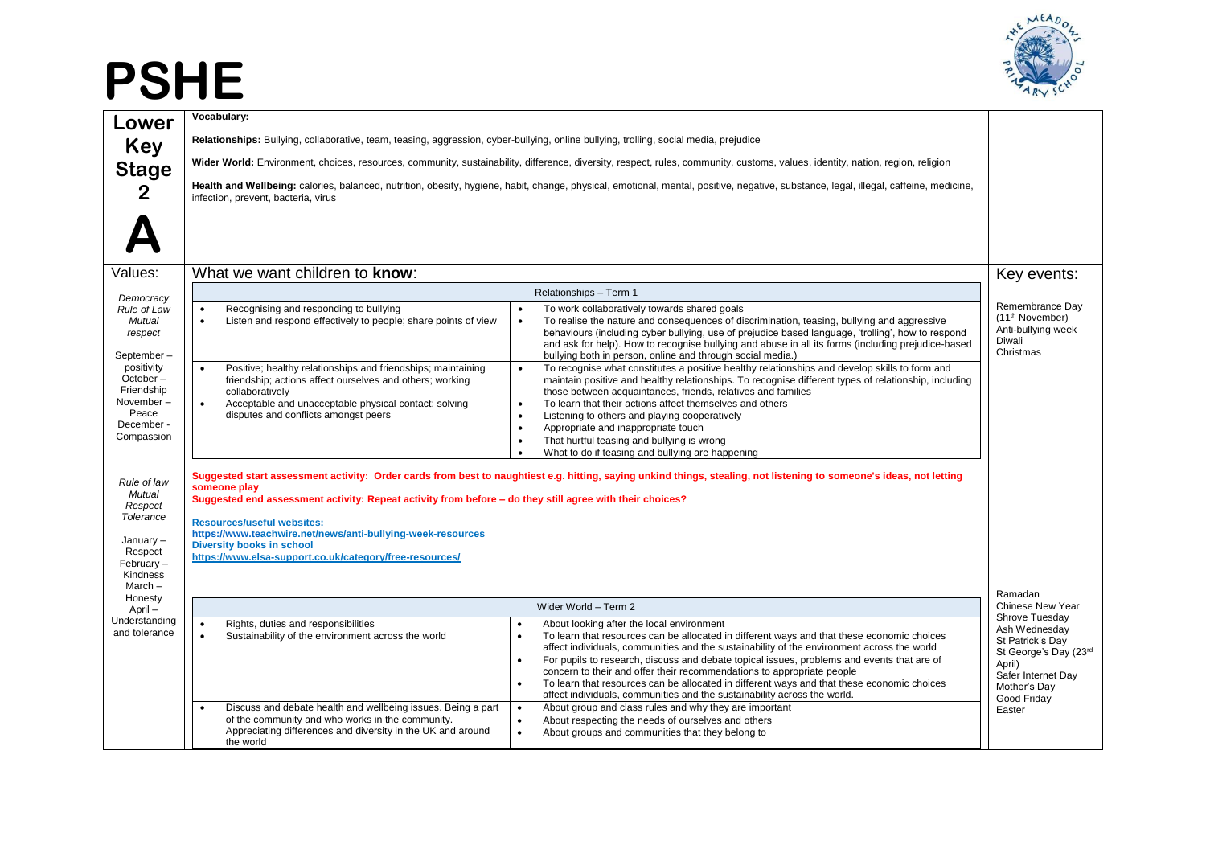## **PSHE**



| Lower                                                                                                   | Vocabulary:                                                                                                                                                                                                                                                                                                                                                                                                                                                                                         |                                                                                                                                                                                                                                                                                                                                                                                                                                                                                                                                                                                         |                                                                                                                                             |
|---------------------------------------------------------------------------------------------------------|-----------------------------------------------------------------------------------------------------------------------------------------------------------------------------------------------------------------------------------------------------------------------------------------------------------------------------------------------------------------------------------------------------------------------------------------------------------------------------------------------------|-----------------------------------------------------------------------------------------------------------------------------------------------------------------------------------------------------------------------------------------------------------------------------------------------------------------------------------------------------------------------------------------------------------------------------------------------------------------------------------------------------------------------------------------------------------------------------------------|---------------------------------------------------------------------------------------------------------------------------------------------|
| <b>Key</b>                                                                                              | Relationships: Bullying, collaborative, team, teasing, aggression, cyber-bullying, online bullying, trolling, social media, prejudice                                                                                                                                                                                                                                                                                                                                                               |                                                                                                                                                                                                                                                                                                                                                                                                                                                                                                                                                                                         |                                                                                                                                             |
| <b>Stage</b>                                                                                            | Wider World: Environment, choices, resources, community, sustainability, difference, diversity, respect, rules, community, customs, values, identity, nation, region, religion                                                                                                                                                                                                                                                                                                                      |                                                                                                                                                                                                                                                                                                                                                                                                                                                                                                                                                                                         |                                                                                                                                             |
| $\mathbf{2}$                                                                                            | infection, prevent, bacteria, virus                                                                                                                                                                                                                                                                                                                                                                                                                                                                 | Health and Wellbeing: calories, balanced, nutrition, obesity, hygiene, habit, change, physical, emotional, mental, positive, negative, substance, legal, illegal, caffeine, medicine,                                                                                                                                                                                                                                                                                                                                                                                                   |                                                                                                                                             |
| Values:                                                                                                 | What we want children to know:                                                                                                                                                                                                                                                                                                                                                                                                                                                                      |                                                                                                                                                                                                                                                                                                                                                                                                                                                                                                                                                                                         | Key events:                                                                                                                                 |
|                                                                                                         |                                                                                                                                                                                                                                                                                                                                                                                                                                                                                                     |                                                                                                                                                                                                                                                                                                                                                                                                                                                                                                                                                                                         |                                                                                                                                             |
| Democracy<br>Rule of Law<br>Mutual<br>respect<br>September-                                             | Recognising and responding to bullying<br>$\bullet$<br>Listen and respond effectively to people; share points of view<br>$\bullet$<br>$\bullet$                                                                                                                                                                                                                                                                                                                                                     | Relationships - Term 1<br>To work collaboratively towards shared goals<br>To realise the nature and consequences of discrimination, teasing, bullying and aggressive<br>behaviours (including cyber bullying, use of prejudice based language, 'trolling', how to respond<br>and ask for help). How to recognise bullying and abuse in all its forms (including prejudice-based<br>bullying both in person, online and through social media.)                                                                                                                                           | Remembrance Dav<br>(11 <sup>th</sup> November)<br>Anti-bullying week<br>Diwali<br>Christmas                                                 |
| positivity<br>October-<br>Friendship<br>November-<br>Peace<br>December -<br>Compassion                  | Positive; healthy relationships and friendships; maintaining<br>$\bullet$<br>$\bullet$<br>friendship; actions affect ourselves and others; working<br>collaboratively<br>Acceptable and unacceptable physical contact; solving<br>$\bullet$<br>$\bullet$<br>disputes and conflicts amongst peers<br>$\bullet$<br>$\bullet$<br>$\bullet$<br>$\bullet$                                                                                                                                                | To recognise what constitutes a positive healthy relationships and develop skills to form and<br>maintain positive and healthy relationships. To recognise different types of relationship, including<br>those between acquaintances, friends, relatives and families<br>To learn that their actions affect themselves and others<br>Listening to others and playing cooperatively<br>Appropriate and inappropriate touch<br>That hurtful teasing and bullying is wrong<br>What to do if teasing and bullying are happening                                                             |                                                                                                                                             |
| Rule of law<br>Mutual<br>Respect<br>Tolerance<br>January-<br>Respect<br>February-<br>Kindness<br>March- | Suggested start assessment activity: Order cards from best to naughtiest e.g. hitting, saying unkind things, stealing, not listening to someone's ideas, not letting<br>someone play<br>Suggested end assessment activity: Repeat activity from before - do they still agree with their choices?<br><b>Resources/useful websites:</b><br>https://www.teachwire.net/news/anti-bullying-week-resources<br><b>Diversity books in school</b><br>https://www.elsa-support.co.uk/category/free-resources/ |                                                                                                                                                                                                                                                                                                                                                                                                                                                                                                                                                                                         |                                                                                                                                             |
| Honesty<br>April-                                                                                       |                                                                                                                                                                                                                                                                                                                                                                                                                                                                                                     | Wider World - Term 2                                                                                                                                                                                                                                                                                                                                                                                                                                                                                                                                                                    | Ramadan<br>Chinese New Year                                                                                                                 |
| Understanding<br>and tolerance                                                                          | Rights, duties and responsibilities<br>$\bullet$<br>Sustainability of the environment across the world<br>$\bullet$                                                                                                                                                                                                                                                                                                                                                                                 | About looking after the local environment<br>To learn that resources can be allocated in different ways and that these economic choices<br>affect individuals, communities and the sustainability of the environment across the world<br>For pupils to research, discuss and debate topical issues, problems and events that are of<br>concern to their and offer their recommendations to appropriate people<br>To learn that resources can be allocated in different ways and that these economic choices<br>affect individuals, communities and the sustainability across the world. | Shrove Tuesday<br>Ash Wednesday<br>St Patrick's Day<br>St George's Day (23rd<br>April)<br>Safer Internet Day<br>Mother's Day<br>Good Friday |
|                                                                                                         | Discuss and debate health and wellbeing issues. Being a part<br>$\bullet$<br>of the community and who works in the community.<br>$\bullet$<br>Appreciating differences and diversity in the UK and around<br>$\bullet$<br>the world                                                                                                                                                                                                                                                                 | About group and class rules and why they are important<br>About respecting the needs of ourselves and others<br>About groups and communities that they belong to                                                                                                                                                                                                                                                                                                                                                                                                                        | Easter                                                                                                                                      |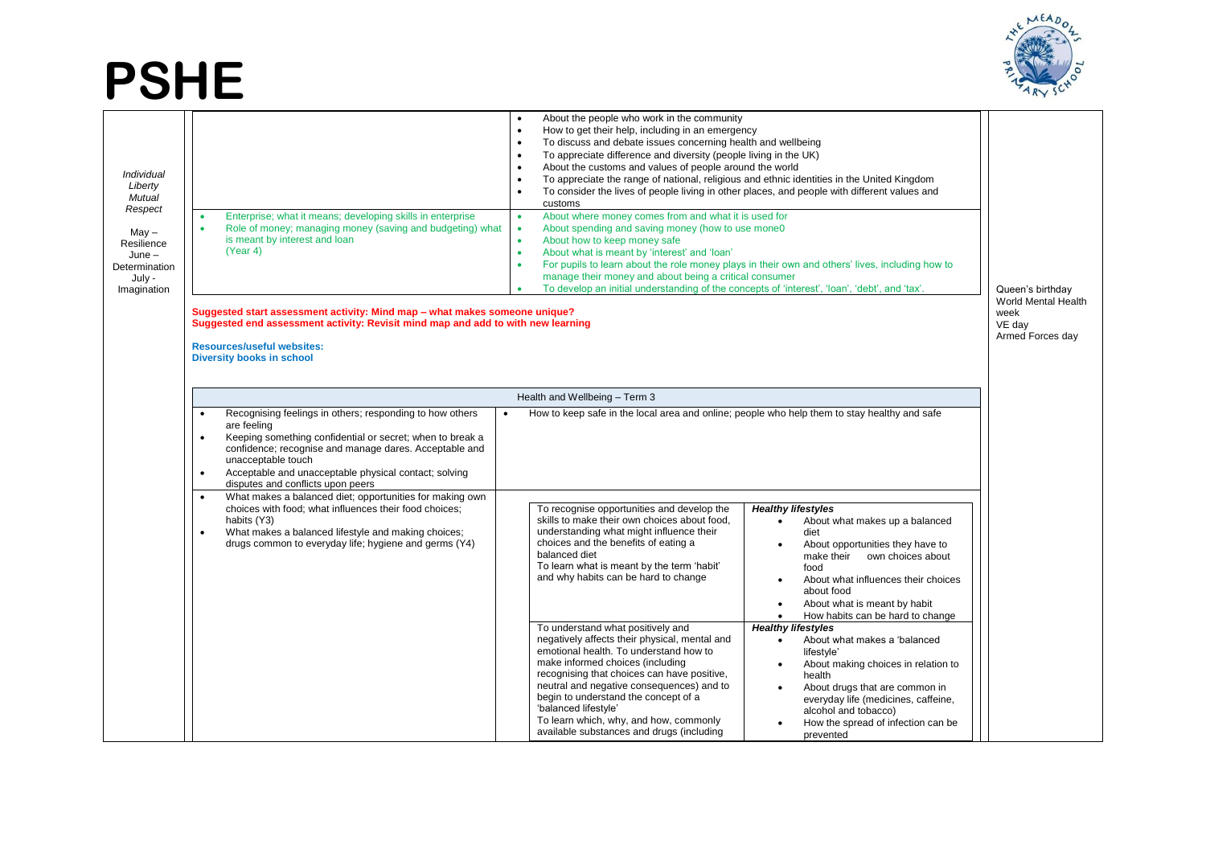## **PSHE**



| Individual<br>Liberty<br>Mutual<br>Respect<br>May –<br>Resilience<br>$June -$<br>Determination<br>July -<br>Imagination | About the people who work in the community<br>How to get their help, including in an emergency<br>To discuss and debate issues concerning health and wellbeing<br>$\bullet$<br>To appreciate difference and diversity (people living in the UK)<br>$\bullet$<br>About the customs and values of people around the world<br>$\bullet$<br>To appreciate the range of national, religious and ethnic identities in the United Kingdom<br>To consider the lives of people living in other places, and people with different values and<br>$\bullet$<br>customs<br>Enterprise; what it means; developing skills in enterprise<br>About where money comes from and what it is used for<br>$\bullet$<br>Role of money; managing money (saving and budgeting) what<br>About spending and saving money (how to use mone0<br>$\bullet$<br>is meant by interest and loan<br>About how to keep money safe<br>$\bullet$<br>(Year 4)<br>About what is meant by 'interest' and 'loan'<br>$\bullet$<br>For pupils to learn about the role money plays in their own and others' lives, including how to<br>$\bullet$<br>manage their money and about being a critical consumer<br>To develop an initial understanding of the concepts of 'interest', 'loan', 'debt', and 'tax'.<br>Suggested start assessment activity: Mind map - what makes someone unique?<br>Suggested end assessment activity: Revisit mind map and add to with new learning<br><b>Resources/useful websites:</b><br><b>Diversity books in school</b>                                                                                                                | Queen's birthday<br>World Mental Health<br>week<br>VE day<br>Armed Forces day |  |
|-------------------------------------------------------------------------------------------------------------------------|--------------------------------------------------------------------------------------------------------------------------------------------------------------------------------------------------------------------------------------------------------------------------------------------------------------------------------------------------------------------------------------------------------------------------------------------------------------------------------------------------------------------------------------------------------------------------------------------------------------------------------------------------------------------------------------------------------------------------------------------------------------------------------------------------------------------------------------------------------------------------------------------------------------------------------------------------------------------------------------------------------------------------------------------------------------------------------------------------------------------------------------------------------------------------------------------------------------------------------------------------------------------------------------------------------------------------------------------------------------------------------------------------------------------------------------------------------------------------------------------------------------------------------------------------------------------------------------------------------------------------|-------------------------------------------------------------------------------|--|
|                                                                                                                         | Health and Wellbeing - Term 3                                                                                                                                                                                                                                                                                                                                                                                                                                                                                                                                                                                                                                                                                                                                                                                                                                                                                                                                                                                                                                                                                                                                                                                                                                                                                                                                                                                                                                                                                                                                                                                            |                                                                               |  |
|                                                                                                                         | Recognising feelings in others; responding to how others<br>How to keep safe in the local area and online; people who help them to stay healthy and safe<br>are feeling<br>Keeping something confidential or secret; when to break a<br>confidence; recognise and manage dares. Acceptable and<br>unacceptable touch<br>Acceptable and unacceptable physical contact; solving<br>disputes and conflicts upon peers                                                                                                                                                                                                                                                                                                                                                                                                                                                                                                                                                                                                                                                                                                                                                                                                                                                                                                                                                                                                                                                                                                                                                                                                       |                                                                               |  |
|                                                                                                                         | What makes a balanced diet; opportunities for making own<br>choices with food; what influences their food choices;<br>To recognise opportunities and develop the<br><b>Healthy lifestyles</b><br>skills to make their own choices about food,<br>habits (Y3)<br>About what makes up a balanced<br>$\bullet$<br>understanding what might influence their<br>What makes a balanced lifestyle and making choices;<br>diet<br>drugs common to everyday life; hygiene and germs (Y4)<br>choices and the benefits of eating a<br>About opportunities they have to<br>$\bullet$<br>balanced diet<br>make their own choices about<br>To learn what is meant by the term 'habit'<br>food<br>and why habits can be hard to change<br>About what influences their choices<br>about food<br>About what is meant by habit<br>$\bullet$<br>How habits can be hard to change<br>$\bullet$<br><b>Healthy lifestyles</b><br>To understand what positively and<br>negatively affects their physical, mental and<br>About what makes a 'balanced<br>$\bullet$<br>emotional health. To understand how to<br>lifestyle'<br>make informed choices (including<br>About making choices in relation to<br>$\bullet$<br>recognising that choices can have positive,<br>health<br>neutral and negative consequences) and to<br>About drugs that are common in<br>$\bullet$<br>begin to understand the concept of a<br>everyday life (medicines, caffeine,<br>'balanced lifestyle'<br>alcohol and tobacco)<br>To learn which, why, and how, commonly<br>How the spread of infection can be<br>available substances and drugs (including<br>prevented |                                                                               |  |